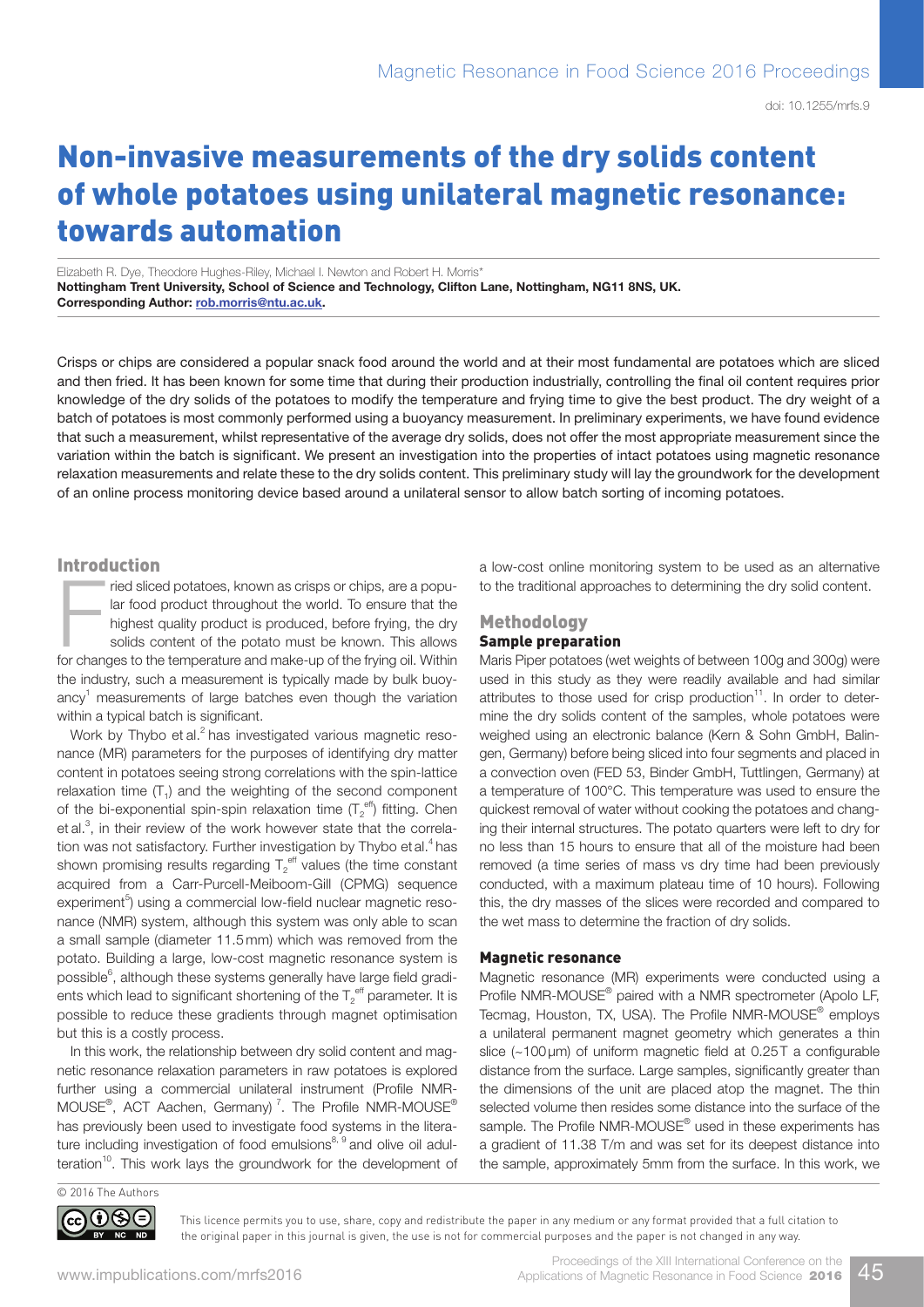# Non-invasive measurements of the dry solids content of whole potatoes using unilateral magnetic resonance: towards automation

Elizabeth R. Dye, Theodore Hughes-Riley, Michael I. Newton and Robert H. Morris\* Nottingham Trent University, School of Science and Technology, Clifton Lane, Nottingham, NG11 8NS, UK. Corresponding Author: [rob.morris@ntu.ac.uk.](mailto:rob.morris@ntu.ac.uk)

Crisps or chips are considered a popular snack food around the world and at their most fundamental are potatoes which are sliced and then fried. It has been known for some time that during their production industrially, controlling the final oil content requires prior knowledge of the dry solids of the potatoes to modify the temperature and frying time to give the best product. The dry weight of a batch of potatoes is most commonly performed using a buoyancy measurement. In preliminary experiments, we have found evidence that such a measurement, whilst representative of the average dry solids, does not offer the most appropriate measurement since the variation within the batch is significant. We present an investigation into the properties of intact potatoes using magnetic resonance relaxation measurements and relate these to the dry solids content. This preliminary study will lay the groundwork for the development of an online process monitoring device based around a unilateral sensor to allow batch sorting of incoming potatoes.

#### Introduction

Final sliced potatoes, known as crisps or chips, are a popular food product throughout the world. To ensure that the highest quality product is produced, before frying, the dry solids content of the potato must be known. T ried sliced potatoes, known as crisps or chips, are a popular food product throughout the world. To ensure that the highest quality product is produced, before frying, the dry solids content of the potato must be known. This allows the industry, such a measurement is typically made by bulk buoyancy<sup>1</sup> measurements of large batches even though the variation within a typical batch is significant.

Work by Thybo et al.<sup>2</sup> has investigated various magnetic resonance (MR) parameters for the purposes of identifying dry matter content in potatoes seeing strong correlations with the spin-lattice relaxation time  $(T_1)$  and the weighting of the second component of the bi-exponential spin-spin relaxation time  $(T_2^{\text{eff}})$  fitting. Chen et al.<sup>3</sup>, in their review of the work however state that the correlation was not satisfactory. Further investigation by Thybo et al.<sup>4</sup> has shown promising results regarding  $\mathsf{T}_2^\mathsf{eff}$  values (the time constant acquired from a Carr-Purcell-Meiboom-Gill (CPMG) sequence experiment<sup>5</sup>) using a commercial low-field nuclear magnetic resonance (NMR) system, although this system was only able to scan a small sample (diameter 11.5 mm) which was removed from the potato. Building a large, low-cost magnetic resonance system is possible $^6$ , although these systems generally have large field gradients which lead to significant shortening of the  $T_2^{\text{ eff}}$  parameter. It is possible to reduce these gradients through magnet optimisation but this is a costly process.

In this work, the relationship between dry solid content and magnetic resonance relaxation parameters in raw potatoes is explored further using a commercial unilateral instrument (Profile NMR-MOUSE $^{\circ}$ , ACT Aachen, Germany)<sup>7</sup>. The Profile NMR-MOUSE $^{\circ}$ has previously been used to investigate food systems in the literature including investigation of food emulsions<sup>8, 9</sup> and olive oil adulteration $10$ . This work lays the groundwork for the development of a low-cost online monitoring system to be used as an alternative to the traditional approaches to determining the dry solid content.

#### **Methodology** Sample preparation

Maris Piper potatoes (wet weights of between 100g and 300g) were used in this study as they were readily available and had similar attributes to those used for crisp production $11$ . In order to determine the dry solids content of the samples, whole potatoes were weighed using an electronic balance (Kern & Sohn GmbH, Balingen, Germany) before being sliced into four segments and placed in a convection oven (FED 53, Binder GmbH, Tuttlingen, Germany) at a temperature of 100°C. This temperature was used to ensure the quickest removal of water without cooking the potatoes and changing their internal structures. The potato quarters were left to dry for no less than 15 hours to ensure that all of the moisture had been removed (a time series of mass vs dry time had been previously conducted, with a maximum plateau time of 10 hours). Following this, the dry masses of the slices were recorded and compared to the wet mass to determine the fraction of dry solids.

### Magnetic resonance

Magnetic resonance (MR) experiments were conducted using a Profile NMR-MOUSE<sup>®</sup> paired with a NMR spectrometer (Apolo LF, Tecmag, Houston, TX, USA). The Profile NMR-MOUSE<sup>®</sup> employs a unilateral permanent magnet geometry which generates a thin slice (~100 µm) of uniform magnetic field at 0.25 T a configurable distance from the surface. Large samples, significantly greater than the dimensions of the unit are placed atop the magnet. The thin selected volume then resides some distance into the surface of the sample. The Profile NMR-MOUSE<sup>®</sup> used in these experiments has a gradient of 11.38 T/m and was set for its deepest distance into the sample, approximately 5mm from the surface. In this work, we



This licence permits you to use, share, copy and redistribute the paper in any medium or any format provided that a full citation to the original paper in this journal is given, the use is not for commercial purposes and the paper is not changed in any way.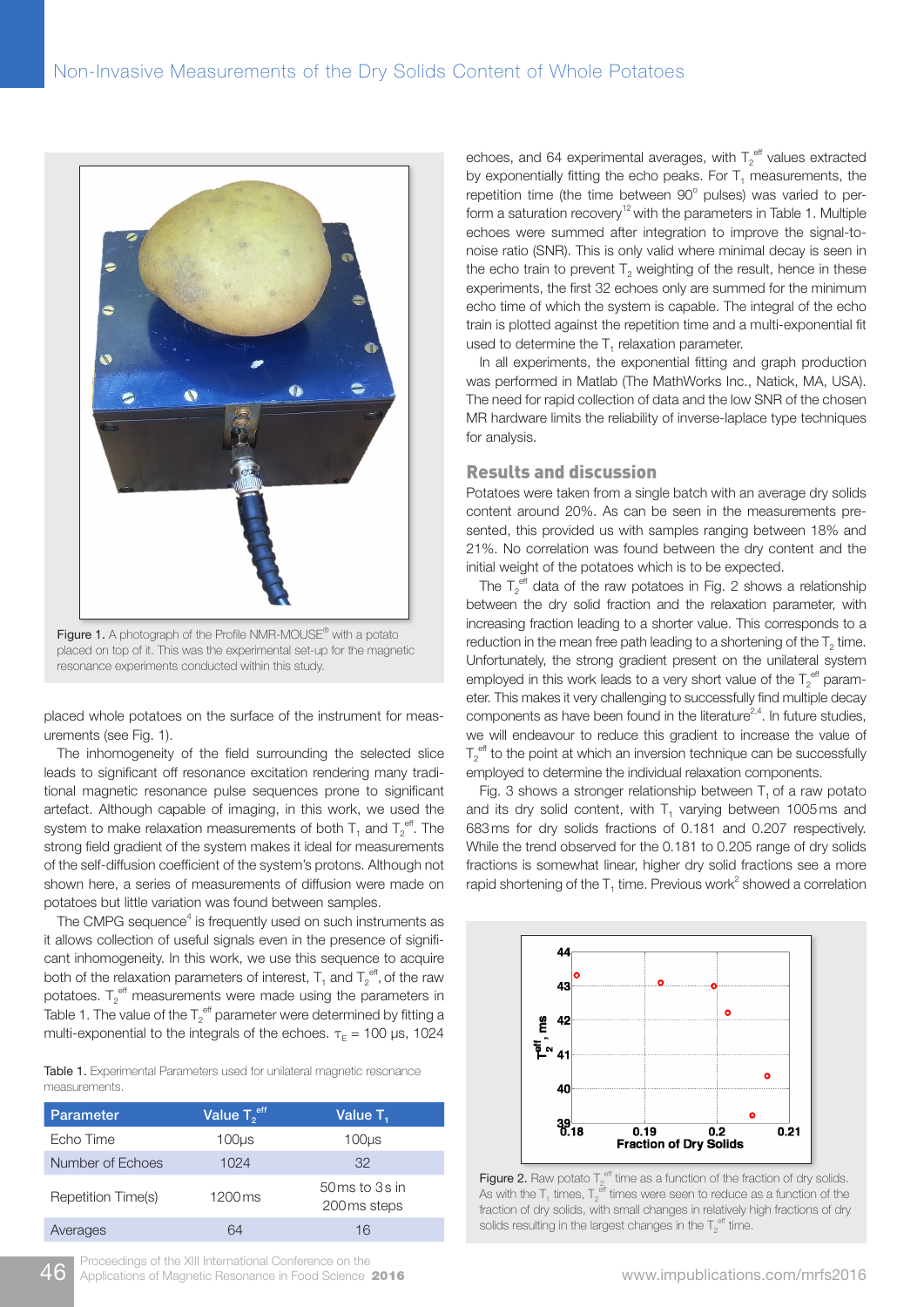

Figure 1. A photograph of the Profile NMR-MOUSE<sup>®</sup> with a potato placed on top of it. This was the experimental set-up for the magnetic resonance experiments conducted within this study.

placed whole potatoes on the surface of the instrument for measurements (see Fig. 1).

The inhomogeneity of the field surrounding the selected slice leads to significant off resonance excitation rendering many traditional magnetic resonance pulse sequences prone to significant artefact. Although capable of imaging, in this work, we used the system to make relaxation measurements of both  $\mathsf{T}_1$  and  $\mathsf{T}_2^{\,\mathrm{eff}}$ . The strong field gradient of the system makes it ideal for measurements of the self-diffusion coefficient of the system's protons. Although not shown here, a series of measurements of diffusion were made on potatoes but little variation was found between samples.

The CMPG sequence $4$  is frequently used on such instruments as it allows collection of useful signals even in the presence of significant inhomogeneity. In this work, we use this sequence to acquire both of the relaxation parameters of interest,  ${\mathsf T}_1$  and  ${\mathsf T}_2^{\text{\,eff}}$  of the raw potatoes.  $T_2^{\text{eff}}$  measurements were made using the parameters in Table 1. The value of the  $T_2^{\text{eff}}$  parameter were determined by fitting a multi-exponential to the integrals of the echoes.  $\tau_{E} = 100 \text{ }\mu\text{s}, 1024$ 

Table 1. Experimental Parameters used for unilateral magnetic resonance measurements.

| <b>Parameter</b>   | Value T <sub>2</sub> eff | Value T <sub>1</sub>                                      |
|--------------------|--------------------------|-----------------------------------------------------------|
| Echo Time          | 100us                    | 100us                                                     |
| Number of Echoes   | 1024                     | 32                                                        |
| Repetition Time(s) | 1200 ms                  | $50 \,\mathrm{ms}$ to $3 \,\mathrm{s}$ in<br>200 ms steps |
| Averages           | 64                       | 16                                                        |

echoes, and 64 experimental averages, with  $T_2^{\text{eff}}$  values extracted by exponentially fitting the echo peaks. For  $T<sub>1</sub>$  measurements, the repetition time (the time between 90° pulses) was varied to perform a saturation recovery<sup>12</sup> with the parameters in Table 1. Multiple echoes were summed after integration to improve the signal-tonoise ratio (SNR). This is only valid where minimal decay is seen in the echo train to prevent  $T<sub>2</sub>$  weighting of the result, hence in these experiments, the first 32 echoes only are summed for the minimum echo time of which the system is capable. The integral of the echo train is plotted against the repetition time and a multi-exponential fit used to determine the  $T_1$  relaxation parameter.

In all experiments, the exponential fitting and graph production was performed in Matlab (The MathWorks Inc., Natick, MA, USA). The need for rapid collection of data and the low SNR of the chosen MR hardware limits the reliability of inverse-laplace type techniques for analysis.

# Results and discussion

Potatoes were taken from a single batch with an average dry solids content around 20%. As can be seen in the measurements presented, this provided us with samples ranging between 18% and 21%. No correlation was found between the dry content and the initial weight of the potatoes which is to be expected.

The  $T_2^{\text{eff}}$  data of the raw potatoes in Fig. 2 shows a relationship between the dry solid fraction and the relaxation parameter, with increasing fraction leading to a shorter value. This corresponds to a reduction in the mean free path leading to a shortening of the  $T<sub>2</sub>$  time. Unfortunately, the strong gradient present on the unilateral system employed in this work leads to a very short value of the  $T_2^{\text{eff}}$  parameter. This makes it very challenging to successfully find multiple decay components as have been found in the literature<sup>2,4</sup>. In future studies, we will endeavour to reduce this gradient to increase the value of  $T_2^{\text{eff}}$  to the point at which an inversion technique can be successfully employed to determine the individual relaxation components.

Fig. 3 shows a stronger relationship between  $T<sub>1</sub>$  of a raw potato and its dry solid content, with  $T<sub>1</sub>$  varying between 1005ms and 683ms for dry solids fractions of 0.181 and 0.207 respectively. While the trend observed for the 0.181 to 0.205 range of dry solids fractions is somewhat linear, higher dry solid fractions see a more rapid shortening of the  $T_1$  time. Previous work<sup>2</sup> showed a correlation



**Figure 2.** Raw potato  $T_2^{\text{eff}}$  time as a function of the fraction of dry solids. As with the  $T_1$  times,  $T_2^{\text{eff}}$  times were seen to reduce as a function of the fraction of dry solids, with small changes in relatively high fractions of dry solids resulting in the largest changes in the  $T_2^{\text{ eff}}$  time.

46